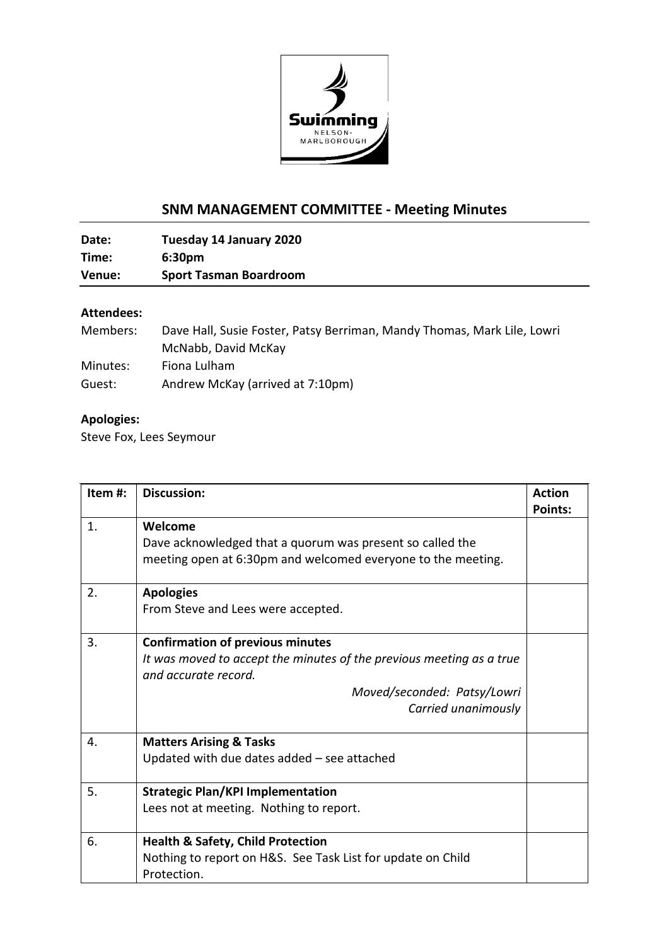

## **SNM MANAGEMENT COMMITTEE - Meeting Minutes**

**Date: Tuesday 14 January 2020 Time: 6:30pm Venue: Sport Tasman Boardroom**

## **Attendees:**

| Members: | Dave Hall, Susie Foster, Patsy Berriman, Mandy Thomas, Mark Lile, Lowri |
|----------|-------------------------------------------------------------------------|
|          | McNabb, David McKay                                                     |
| Minutes: | Fiona Lulham                                                            |
| Guest:   | Andrew McKay (arrived at 7:10pm)                                        |

## **Apologies:**

Steve Fox, Lees Seymour

| Item#: | <b>Discussion:</b>                                                                                                                                                                            | <b>Action</b><br><b>Points:</b> |
|--------|-----------------------------------------------------------------------------------------------------------------------------------------------------------------------------------------------|---------------------------------|
| 1.     | Welcome<br>Dave acknowledged that a quorum was present so called the<br>meeting open at 6:30pm and welcomed everyone to the meeting.                                                          |                                 |
| 2.     | <b>Apologies</b><br>From Steve and Lees were accepted.                                                                                                                                        |                                 |
| 3.     | <b>Confirmation of previous minutes</b><br>It was moved to accept the minutes of the previous meeting as a true<br>and accurate record.<br>Moved/seconded: Patsy/Lowri<br>Carried unanimously |                                 |
| 4.     | <b>Matters Arising &amp; Tasks</b><br>Updated with due dates added $-$ see attached                                                                                                           |                                 |
| 5.     | <b>Strategic Plan/KPI Implementation</b><br>Lees not at meeting. Nothing to report.                                                                                                           |                                 |
| 6.     | <b>Health &amp; Safety, Child Protection</b><br>Nothing to report on H&S. See Task List for update on Child<br>Protection.                                                                    |                                 |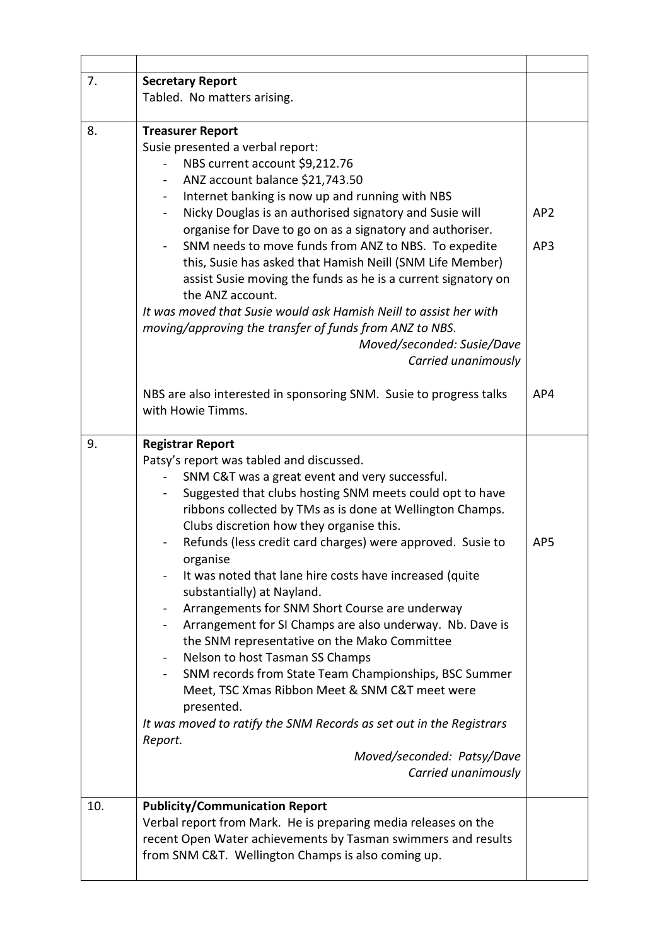| 7.  | <b>Secretary Report</b>                                                                                                                                                                                                                                                                                                                                                                                                                                                                                                                                                                                                                                                                                                                                                                                                                                                                                                                                                               |                        |
|-----|---------------------------------------------------------------------------------------------------------------------------------------------------------------------------------------------------------------------------------------------------------------------------------------------------------------------------------------------------------------------------------------------------------------------------------------------------------------------------------------------------------------------------------------------------------------------------------------------------------------------------------------------------------------------------------------------------------------------------------------------------------------------------------------------------------------------------------------------------------------------------------------------------------------------------------------------------------------------------------------|------------------------|
|     | Tabled. No matters arising.                                                                                                                                                                                                                                                                                                                                                                                                                                                                                                                                                                                                                                                                                                                                                                                                                                                                                                                                                           |                        |
|     |                                                                                                                                                                                                                                                                                                                                                                                                                                                                                                                                                                                                                                                                                                                                                                                                                                                                                                                                                                                       |                        |
| 8.  | <b>Treasurer Report</b><br>Susie presented a verbal report:<br>NBS current account \$9,212.76<br>ANZ account balance \$21,743.50<br>Internet banking is now up and running with NBS<br>Nicky Douglas is an authorised signatory and Susie will<br>-<br>organise for Dave to go on as a signatory and authoriser.<br>SNM needs to move funds from ANZ to NBS. To expedite<br>this, Susie has asked that Hamish Neill (SNM Life Member)<br>assist Susie moving the funds as he is a current signatory on<br>the ANZ account.<br>It was moved that Susie would ask Hamish Neill to assist her with<br>moving/approving the transfer of funds from ANZ to NBS.<br>Moved/seconded: Susie/Dave<br>Carried unanimously                                                                                                                                                                                                                                                                       | AP <sub>2</sub><br>AP3 |
|     | NBS are also interested in sponsoring SNM. Susie to progress talks<br>with Howie Timms.                                                                                                                                                                                                                                                                                                                                                                                                                                                                                                                                                                                                                                                                                                                                                                                                                                                                                               | AP4                    |
| 9.  | <b>Registrar Report</b><br>Patsy's report was tabled and discussed.<br>SNM C&T was a great event and very successful.<br>Suggested that clubs hosting SNM meets could opt to have<br>ribbons collected by TMs as is done at Wellington Champs.<br>Clubs discretion how they organise this.<br>Refunds (less credit card charges) were approved. Susie to<br>organise<br>It was noted that lane hire costs have increased (quite<br>-<br>substantially) at Nayland.<br>Arrangements for SNM Short Course are underway<br>$\qquad \qquad \blacksquare$<br>Arrangement for SI Champs are also underway. Nb. Dave is<br>the SNM representative on the Mako Committee<br>Nelson to host Tasman SS Champs<br>$\blacksquare$<br>SNM records from State Team Championships, BSC Summer<br>Meet, TSC Xmas Ribbon Meet & SNM C&T meet were<br>presented.<br>It was moved to ratify the SNM Records as set out in the Registrars<br>Report.<br>Moved/seconded: Patsy/Dave<br>Carried unanimously | AP5                    |
| 10. | <b>Publicity/Communication Report</b><br>Verbal report from Mark. He is preparing media releases on the<br>recent Open Water achievements by Tasman swimmers and results<br>from SNM C&T. Wellington Champs is also coming up.                                                                                                                                                                                                                                                                                                                                                                                                                                                                                                                                                                                                                                                                                                                                                        |                        |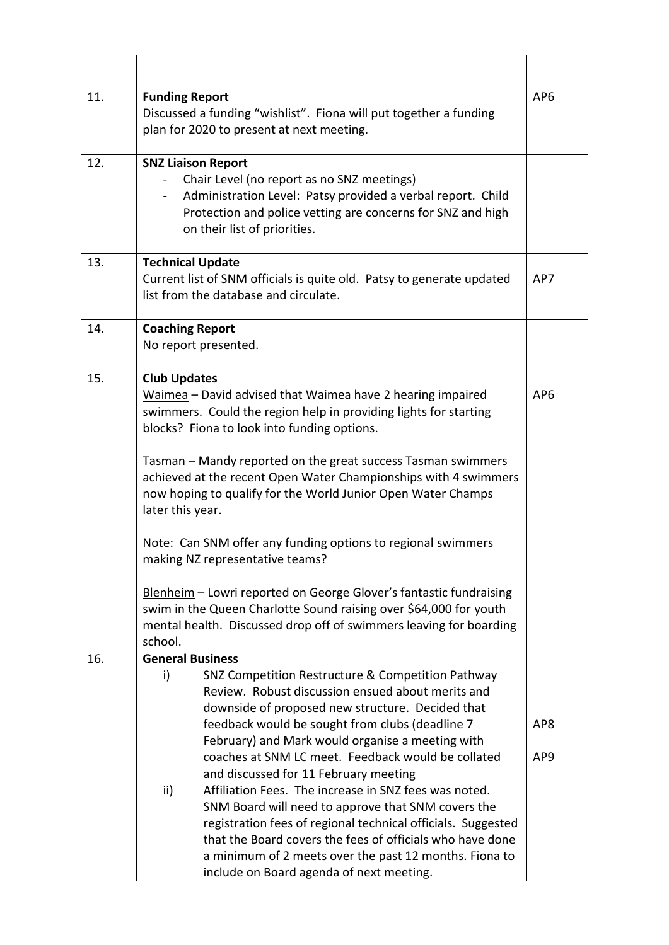| 11. | <b>Funding Report</b><br>Discussed a funding "wishlist". Fiona will put together a funding<br>plan for 2020 to present at next meeting.                                                                                                                                                                                                                                                                                                                                                                                                                                                                                                                                                                                                                    | AP <sub>6</sub>                    |
|-----|------------------------------------------------------------------------------------------------------------------------------------------------------------------------------------------------------------------------------------------------------------------------------------------------------------------------------------------------------------------------------------------------------------------------------------------------------------------------------------------------------------------------------------------------------------------------------------------------------------------------------------------------------------------------------------------------------------------------------------------------------------|------------------------------------|
| 12. | <b>SNZ Liaison Report</b><br>Chair Level (no report as no SNZ meetings)<br>Administration Level: Patsy provided a verbal report. Child<br>Protection and police vetting are concerns for SNZ and high<br>on their list of priorities.                                                                                                                                                                                                                                                                                                                                                                                                                                                                                                                      |                                    |
| 13. | <b>Technical Update</b><br>Current list of SNM officials is quite old. Patsy to generate updated<br>list from the database and circulate.                                                                                                                                                                                                                                                                                                                                                                                                                                                                                                                                                                                                                  | AP7                                |
| 14. | <b>Coaching Report</b><br>No report presented.                                                                                                                                                                                                                                                                                                                                                                                                                                                                                                                                                                                                                                                                                                             |                                    |
| 15. | <b>Club Updates</b><br>Waimea - David advised that Waimea have 2 hearing impaired<br>swimmers. Could the region help in providing lights for starting<br>blocks? Fiona to look into funding options.<br>Tasman - Mandy reported on the great success Tasman swimmers<br>achieved at the recent Open Water Championships with 4 swimmers<br>now hoping to qualify for the World Junior Open Water Champs<br>later this year.<br>Note: Can SNM offer any funding options to regional swimmers<br>making NZ representative teams?<br>Blenheim - Lowri reported on George Glover's fantastic fundraising<br>swim in the Queen Charlotte Sound raising over \$64,000 for youth<br>mental health. Discussed drop off of swimmers leaving for boarding<br>school. | AP <sub>6</sub>                    |
| 16. | <b>General Business</b><br>SNZ Competition Restructure & Competition Pathway<br>i)<br>Review. Robust discussion ensued about merits and<br>downside of proposed new structure. Decided that<br>feedback would be sought from clubs (deadline 7<br>February) and Mark would organise a meeting with<br>coaches at SNM LC meet. Feedback would be collated<br>and discussed for 11 February meeting<br>Affiliation Fees. The increase in SNZ fees was noted.<br>ii)<br>SNM Board will need to approve that SNM covers the<br>registration fees of regional technical officials. Suggested<br>that the Board covers the fees of officials who have done<br>a minimum of 2 meets over the past 12 months. Fiona to<br>include on Board agenda of next meeting. | AP <sub>8</sub><br>AP <sub>9</sub> |